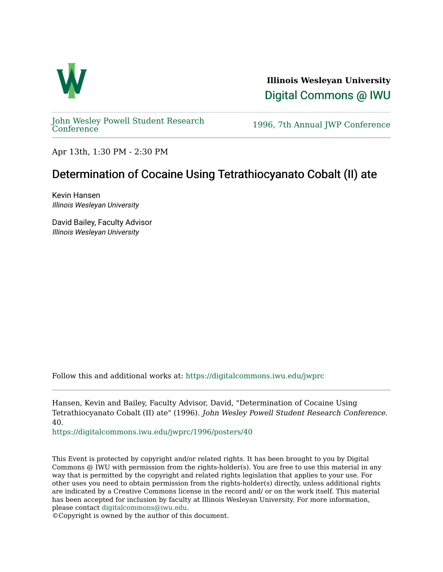

**Illinois Wesleyan University**  [Digital Commons @ IWU](https://digitalcommons.iwu.edu/) 

[John Wesley Powell Student Research](https://digitalcommons.iwu.edu/jwprc) 

1996, 7th Annual JWP [Conference](https://digitalcommons.iwu.edu/jwprc)

Apr 13th, 1:30 PM - 2:30 PM

## Determination of Cocaine Using Tetrathiocyanato Cobalt (II) ate

Kevin Hansen Illinois Wesleyan University

David Bailey, Faculty Advisor Illinois Wesleyan University

Follow this and additional works at: [https://digitalcommons.iwu.edu/jwprc](https://digitalcommons.iwu.edu/jwprc?utm_source=digitalcommons.iwu.edu%2Fjwprc%2F1996%2Fposters%2F40&utm_medium=PDF&utm_campaign=PDFCoverPages) 

Hansen, Kevin and Bailey, Faculty Advisor, David, "Determination of Cocaine Using Tetrathiocyanato Cobalt (II) ate" (1996). John Wesley Powell Student Research Conference. 40.

[https://digitalcommons.iwu.edu/jwprc/1996/posters/40](https://digitalcommons.iwu.edu/jwprc/1996/posters/40?utm_source=digitalcommons.iwu.edu%2Fjwprc%2F1996%2Fposters%2F40&utm_medium=PDF&utm_campaign=PDFCoverPages)

This Event is protected by copyright and/or related rights. It has been brought to you by Digital Commons @ IWU with permission from the rights-holder(s). You are free to use this material in any way that is permitted by the copyright and related rights legislation that applies to your use. For other uses you need to obtain permission from the rights-holder(s) directly, unless additional rights are indicated by a Creative Commons license in the record and/ or on the work itself. This material has been accepted for inclusion by faculty at Illinois Wesleyan University. For more information, please contact [digitalcommons@iwu.edu.](mailto:digitalcommons@iwu.edu)

©Copyright is owned by the author of this document.